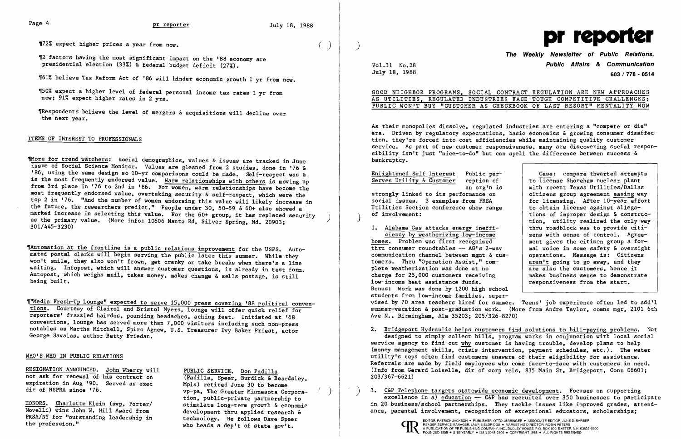## Page 4 **pr reporter** July 18. 1988

~72% expect higher prices a year from now. ( )

~2 factors having the most significant impact on the '88 economy are presidential election (33%) & federal budget deficit (27%).

TRespondents believe the level of mergers & acquisitions will decline over the next year.

~61% believe Tax Reform Act of '86 will hinder economic growth 1 yr from now.

~50% expect a higher level of federal personal income tax rates 1 yr from now: 91% expect higher rates in 2 yrs.

### ITEMS OF INTEREST TO PROFESSIONALS

TMore for trend watchers: social demographics, values & issues are tracked in June issue of Social Science Monitor. Values are gleaned from 2 studies. done in '76 & '86. using the same design so 10-yr comparisons could be made. Self-respect was & is the most frequently endorsed value. Warm relationships with others is moving up from 3rd place in '76 to 2nd in '86. For women. warm relationships have become the most frequently endorsed value. overtaking security & self-respect. which were the top 2 in '76. "And the number of women endorsing this value will likely increase in the future. the researchers predict." People under 30. 50-59 & 60+ also showed a the future, the researchers predict." People under 30, 50-59 & 60+ also showed a<br>marked increase in selecting this value. For the 60+ group, it has replaced security<br>as the primary value. (More info: 10606 Mantz Rd, Silver as the primary value. (More info: 10606 Mantz Rd, Silver Spring, Md. 20903;<br>301/445-3230)

TAutomation at the frontline is a public relations improvement for the USPS. Automated postal clerks will begin serving the public later this summer. While they won't smile, they also won't frown, get cranky or take breaks when there's a line waiting. Infopost, which will answer customer questions, is already in test form. Autopost, which weighs mail, takes money, makes change & sells postage, is still j being built.

"Media Fresh-Up Lounge" expected to serve 15,000 press covering '88 political conventions. Courtesy of C1airo1 and Bristol Myers. lounge will offer quick relief for reporters' frazzled hairdos. pounding headaches. aching feet. Initiated at '68 conventions. lounge has served more than 7.000 visitors including such non-press notables as Martha Mitchell. Spiro Agnew. U.S. Treasurer Ivy Baker Priest. actor George Sava1as. author Betty Friedan.

> vp-pa, The Greater Minnesota Corporation. public-private partnership to

HONORS. Charlotte Klein (svp. Porter/ stimulate long-term growth & economic Novelli) wins John W. Hill Award from development thru applied research & PRSA/NY for "outstanding leadership in technology. He follows Dave Speer<br>the profession." who heads a dep't of state gov't.

GOOD NEIGHBOR PROGRAMS. SOCIAL CO AS UTILITIES, REGULATED INDUSTRIES PUBLIC WON'T BUY "CUSTOMER AS CHE

## The Weekly Newsletter of Public Relations,  $V$ o $1.31$  No.28 **Public Affairs & Communication**<br> $J$ u1v 18. 1988 **Public Affairs & Communication** July 18, 1988 603 / 778 - 0514

| NTRACT REGULATION ARE NEW APPROACHES |  |  |
|--------------------------------------|--|--|
| S FACE TOUGH COMPETITIVE CHALLENGES: |  |  |
| CKBOOK OF LAST RESORT" MENTALITY NOW |  |  |

Enlightened Self Interest<br>
Serves Utility & Customer<br>
Ception of Ticense Shoreham nuclear plant ception of to license Shoreham nuclear plant<br>an org'n is with recent Texas Utilities/Dallas with recent Texas Utilities/Dallas<br>citizens group agreement easing way for licensing. After 10-year effort<br>to obtain license against allegations of improper design & construc-<br>tion, utility realized the only way<br>thru roadblock was to provide citi-1. Alabama Gas attacks energy ineffi-<br>ciency by weatherizing low-income<br>zens with sense of control. Agreeciency by weatherizing low-income<br>
is. Problem was first recognized and the sense the citizen group a for-

As their monopolies dissolve, regulated industries are entering a "compete or die" era. Driven by regulatory expectations. basic economics & growing consumer disaffection. they're forced into cost efficiencies while maintaining quality customer service. As part of new customer responsiveness. many are discovering social responsibility isn't just "nice-to-do" but can spell the difference between success & bankruptcy.

strongly linked to its performance on social issues. 3 examples from PRSA Utilities Section conference show range<br>of involvement:

### WHO'S WHO IN PUBLIC RELATIONS

RESIGNATION ANNOUNCED. John Wherry will PUBLIC SERVICE. Don Padilla<br>not ask for renewal of his contract on (Padilla, Speer, Burdick & Beardsley, not ask for renewal of his contract on (Padilla, Speer, Burdick & Beard<br>expiration in Aug '90. Served as exec Mp1s) retired June 30 to become<br>dir of NSPRA since '76. The Greater Minnesota Cos

homes. Problem was first recognized ment gives the citizen group a for-<br>thru consumer roundtables --  $AG's$  2-way mal voice in some safety & oversight thru consumer roundtables -- AG's 2-way and voice in some safety & oversight communication channel between mgmt & cuscommunication channel between mgmt  $\&$  cus-<br>tomers. Thru "Operation Assist," com-<br>aren't going to go away, and they tomers. Thru "Operation Assist," com-<br>plete weatherization was done at no<br>are also the customers, hence it plete weatherization was done at no<br>
charge for 25,000 customers receiving<br>
makes business sense to demonstrate charge for  $25,000$  customers receiving  $1$ ow-income heat assistance funds.<br> $1$ ow-income heat assistance funds. low-income heat assistance funds. Bonus: Work was done by 1200 high school students from low-income families. supervised by 70 area teachers hired for summer. Teens' job experience often led to add'l summer-vacation & post-graduation work. (More from Andre Taylor. comns mgr. 2101 6th Ave N•• Birmingham. Ala 35203: 205/326-8270)

) 3. C&P Telephone targets statewide economic development. Focuses on supporting excellence in a) education -- C&P has recruited over 350 businesses to participate in 20 business/school partnerships. They tackle issues like improved grades, attendance, parental involvement, recognition of exceptional educators, scholarships;





2. Bridgeport Hydraulic helps customers find solutions to bill-paying problems. Not designed to simply collect bills. program works in conjunction with local social service agency to find out why customer is having trouble. develop plans to help (money management skills, crisis intervention, payment schedules, etc.). The water utility's reps often find customers unaware of their eligibility for assistance. Referrals are made by field employees who come face-to-face with customers in need. (Info from Gerard Loiselle. dir of corp re1s. 835 Main St. Bridgeport. Conn 06601: 203/367-6621)